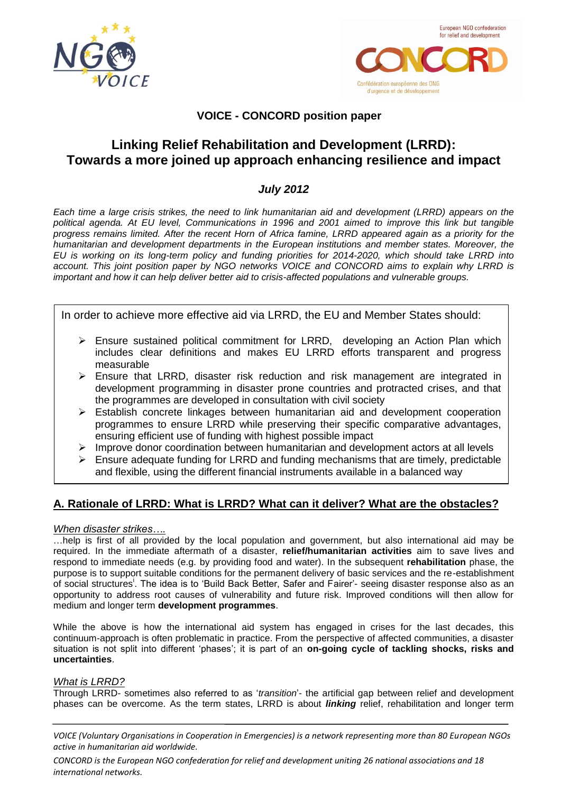



# **VOICE - CONCORD position paper**

# **Linking Relief Rehabilitation and Development (LRRD): Towards a more joined up approach enhancing resilience and impact**

# *July 2012*

*Each time a large crisis strikes, the need to link humanitarian aid and development (LRRD) appears on the*  political agenda. At EU level, Communications in 1996 and 2001 aimed to improve this link but tangible *progress remains limited. After the recent Horn of Africa famine, LRRD appeared again as a priority for the humanitarian and development departments in the European institutions and member states. Moreover, the EU is working on its long-term policy and funding priorities for 2014-2020, which should take LRRD into account. This joint position paper by NGO networks VOICE and CONCORD aims to explain why LRRD is important and how it can help deliver better aid to crisis-affected populations and vulnerable groups.*

In order to achieve more effective aid via LRRD, the EU and Member States should:

- $\triangleright$  Ensure sustained political commitment for LRRD, developing an Action Plan which includes clear definitions and makes EU LRRD efforts transparent and progress measurable
- $\triangleright$  Ensure that LRRD, disaster risk reduction and risk management are integrated in development programming in disaster prone countries and protracted crises, and that the programmes are developed in consultation with civil society
- $\triangleright$  Establish concrete linkages between humanitarian aid and development cooperation programmes to ensure LRRD while preserving their specific comparative advantages, ensuring efficient use of funding with highest possible impact
- $\triangleright$  Improve donor coordination between humanitarian and development actors at all levels
- $\triangleright$  Ensure adequate funding for LRRD and funding mechanisms that are timely, predictable and flexible, using the different financial instruments available in a balanced way

# **A. Rationale of LRRD: What is LRRD? What can it deliver? What are the obstacles?**

## *When disaster strikes….*

…help is first of all provided by the local population and government, but also international aid may be required. In the immediate aftermath of a disaster, **relief/humanitarian activities** aim to save lives and respond to immediate needs (e.g. by providing food and water). In the subsequent **rehabilitation** phase, the purpose is to support suitable conditions for the permanent delivery of basic services and the re-establishment of social structures<sup>i</sup>. The idea is to 'Build Back Better, Safer and Fairer'- seeing disaster response also as an opportunity to address root causes of vulnerability and future risk. Improved conditions will then allow for medium and longer term **development programmes**.

While the above is how the international aid system has engaged in crises for the last decades, this continuum-approach is often problematic in practice. From the perspective of affected communities, a disaster situation is not split into different 'phases'; it is part of an **on-going cycle of tackling shocks, risks and uncertainties**.

### *What is LRRD?*

Through LRRD- sometimes also referred to as '*transition*'- the artificial gap between relief and development phases can be overcome. As the term states, LRRD is about *linking* relief, rehabilitation and longer term

*VOICE (Voluntary Organisations in Cooperation in Emergencies) is a network representing more than 80 European NGOs active in humanitarian aid worldwide.*

*CONCORD is the European NGO confederation for relief and development uniting 26 national associations and 18 international networks.*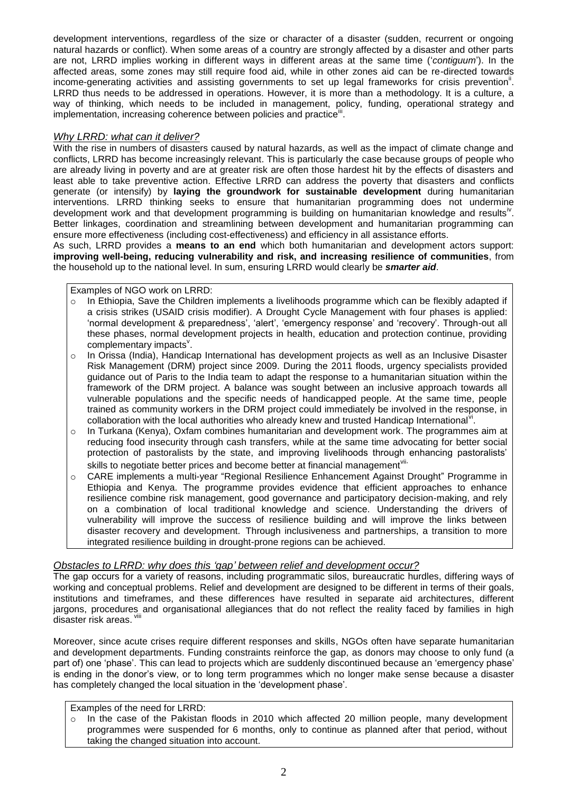development interventions, regardless of the size or character of a disaster (sudden, recurrent or ongoing natural hazards or conflict). When some areas of a country are strongly affected by a disaster and other parts are not, LRRD implies working in different ways in different areas at the same time ('*contiguum*'). In the affected areas, some zones may still require food aid, while in other zones aid can be re-directed towards income-generating activities and assisting governments to set up legal frameworks for crisis prevention<sup>ii</sup>. LRRD thus needs to be addressed in operations. However, it is more than a methodology. It is a culture, a way of thinking, which needs to be included in management, policy, funding, operational strategy and implementation, increasing coherence between policies and practice<sup>"</sup> .

### *Why LRRD: what can it deliver?*

With the rise in numbers of disasters caused by natural hazards, as well as the impact of climate change and conflicts, LRRD has become increasingly relevant. This is particularly the case because groups of people who are already living in poverty and are at greater risk are often those hardest hit by the effects of disasters and least able to take preventive action. Effective LRRD can address the poverty that disasters and conflicts generate (or intensify) by **laying the groundwork for sustainable development** during humanitarian interventions. LRRD thinking seeks to ensure that humanitarian programming does not undermine development work and that development programming is building on humanitarian knowledge and resultsiv. Better linkages, coordination and streamlining between development and humanitarian programming can ensure more effectiveness (including cost-effectiveness) and efficiency in all assistance efforts.

As such, LRRD provides a **means to an end** which both humanitarian and development actors support: **improving well-being, reducing vulnerability and risk, and increasing resilience of communities**, from the household up to the national level. In sum, ensuring LRRD would clearly be *smarter aid*.

Examples of NGO work on LRRD:

- $\circ$  In Ethiopia, Save the Children implements a livelihoods programme which can be flexibly adapted if a crisis strikes (USAID crisis modifier). A Drought Cycle Management with four phases is applied: 'normal development & preparedness', 'alert', 'emergency response' and 'recovery'. Through-out all these phases, normal development projects in health, education and protection continue, providing complementary impacts<sup>v</sup>.
- o In Orissa (India), Handicap International has development projects as well as an Inclusive Disaster Risk Management (DRM) project since 2009. During the 2011 floods, urgency specialists provided guidance out of Paris to the India team to adapt the response to a humanitarian situation within the framework of the DRM project. A balance was sought between an inclusive approach towards all vulnerable populations and the specific needs of handicapped people. At the same time, people trained as community workers in the DRM project could immediately be involved in the response, in collaboration with the local authorities who already knew and trusted Handicap International<sup>vi</sup>.
- $\circ$  In Turkana (Kenya), Oxfam combines humanitarian and development work. The programmes aim at reducing food insecurity through cash transfers, while at the same time advocating for better social protection of pastoralists by the state, and improving livelihoods through enhancing pastoralists' skills to negotiate better prices and become better at financial management<sup>vii.</sup>
- o CARE implements a multi-year "Regional Resilience Enhancement Against Drought" Programme in Ethiopia and Kenya. The programme provides evidence that efficient approaches to enhance resilience combine risk management, good governance and participatory decision-making, and rely on a combination of local traditional knowledge and science. Understanding the drivers of vulnerability will improve the success of resilience building and will improve the links between disaster recovery and development. Through inclusiveness and partnerships, a transition to more integrated resilience building in drought-prone regions can be achieved.

## *Obstacles to LRRD: why does this 'gap' between relief and development occur?*

The gap occurs for a variety of reasons, including programmatic silos, bureaucratic hurdles, differing ways of working and conceptual problems. Relief and development are designed to be different in terms of their goals, institutions and timeframes, and these differences have resulted in separate aid architectures, different jargons, procedures and organisational allegiances that do not reflect the reality faced by families in high disaster risk areas.

Moreover, since acute crises require different responses and skills, NGOs often have separate humanitarian and development departments. Funding constraints reinforce the gap, as donors may choose to only fund (a part of) one 'phase'. This can lead to projects which are suddenly discontinued because an 'emergency phase' is ending in the donor's view, or to long term programmes which no longer make sense because a disaster has completely changed the local situation in the 'development phase'.

#### Examples of the need for LRRD:

 $\circ$  In the case of the Pakistan floods in 2010 which affected 20 million people, many development programmes were suspended for 6 months, only to continue as planned after that period, without taking the changed situation into account.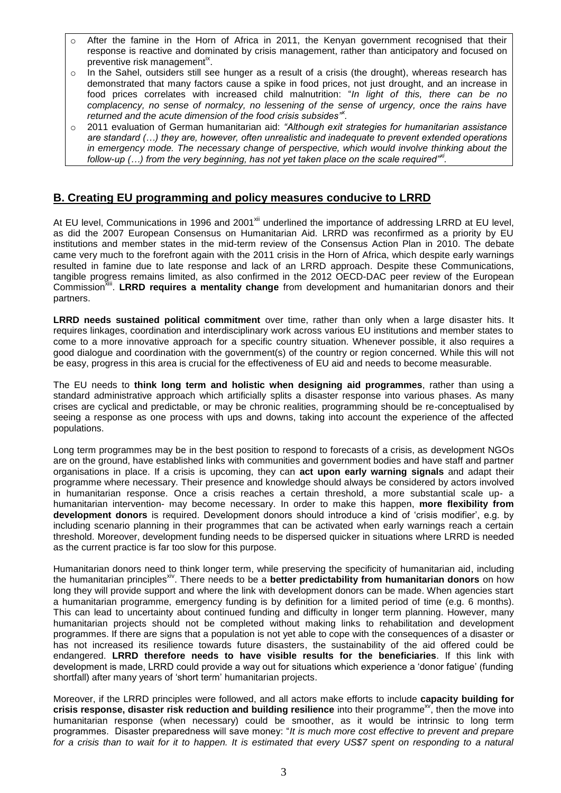- o After the famine in the Horn of Africa in 2011, the Kenyan government recognised that their response is reactive and dominated by crisis management, rather than anticipatory and focused on preventive risk management<sup>ix</sup>.
- $\circ$  In the Sahel, outsiders still see hunger as a result of a crisis (the drought), whereas research has demonstrated that many factors cause a spike in food prices, not just drought, and an increase in food prices correlates with increased child malnutrition: "*In light of this, there can be no complacency, no sense of normalcy, no lessening of the sense of urgency, once the rains have returned and the acute dimension of the food crisis subsides"<sup>x</sup> .*
- o 2011 evaluation of German humanitarian aid: *"Although exit strategies for humanitarian assistance are standard (…) they are, however, often unrealistic and inadequate to prevent extended operations in emergency mode. The necessary change of perspective, which would involve thinking about the*  follow-up (...) from the very beginning, has not yet taken place on the scale required"<sup>XI</sup>.

# **B. Creating EU programming and policy measures conducive to LRRD**

At EU level, Communications in 1996 and 2001<sup>xii</sup> underlined the importance of addressing LRRD at EU level, as did the 2007 European Consensus on Humanitarian Aid. LRRD was reconfirmed as a priority by EU institutions and member states in the mid-term review of the Consensus Action Plan in 2010. The debate came very much to the forefront again with the 2011 crisis in the Horn of Africa, which despite early warnings resulted in famine due to late response and lack of an LRRD approach. Despite these Communications, tangible progress remains limited, as also confirmed in the 2012 OECD-DAC peer review of the European Commission<sup>xiii</sup>. LRRD requires a mentality change from development and humanitarian donors and their partners.

**LRRD needs sustained political commitment** over time, rather than only when a large disaster hits. It requires linkages, coordination and interdisciplinary work across various EU institutions and member states to come to a more innovative approach for a specific country situation. Whenever possible, it also requires a good dialogue and coordination with the government(s) of the country or region concerned. While this will not be easy, progress in this area is crucial for the effectiveness of EU aid and needs to become measurable.

The EU needs to **think long term and holistic when designing aid programmes**, rather than using a standard administrative approach which artificially splits a disaster response into various phases. As many crises are cyclical and predictable, or may be chronic realities, programming should be re-conceptualised by seeing a response as one process with ups and downs, taking into account the experience of the affected populations.

Long term programmes may be in the best position to respond to forecasts of a crisis, as development NGOs are on the ground, have established links with communities and government bodies and have staff and partner organisations in place. If a crisis is upcoming, they can **act upon early warning signals** and adapt their programme where necessary. Their presence and knowledge should always be considered by actors involved in humanitarian response. Once a crisis reaches a certain threshold, a more substantial scale up- a humanitarian intervention- may become necessary. In order to make this happen, **more flexibility from development donors** is required. Development donors should introduce a kind of 'crisis modifier', e.g. by including scenario planning in their programmes that can be activated when early warnings reach a certain threshold. Moreover, development funding needs to be dispersed quicker in situations where LRRD is needed as the current practice is far too slow for this purpose.

Humanitarian donors need to think longer term, while preserving the specificity of humanitarian aid, including the humanitarian principles<sup>xiv</sup>. There needs to be a **better predictability from humanitarian donors** on how long they will provide support and where the link with development donors can be made. When agencies start a humanitarian programme, emergency funding is by definition for a limited period of time (e.g. 6 months). This can lead to uncertainty about continued funding and difficulty in longer term planning. However, many humanitarian projects should not be completed without making links to rehabilitation and development programmes. If there are signs that a population is not yet able to cope with the consequences of a disaster or has not increased its resilience towards future disasters, the sustainability of the aid offered could be endangered. **LRRD therefore needs to have visible results for the beneficiaries**. If this link with development is made, LRRD could provide a way out for situations which experience a 'donor fatigue' (funding shortfall) after many years of 'short term' humanitarian projects.

Moreover, if the LRRD principles were followed, and all actors make efforts to include **capacity building for**  crisis response, disaster risk reduction and building resilience into their programme<sup>xv</sup>, then the move into humanitarian response (when necessary) could be smoother, as it would be intrinsic to long term programmes. Disaster preparedness will save money: "*It is much more cost effective to prevent and prepare for a crisis than to wait for it to happen. It is estimated that every US\$7 spent on responding to a natural*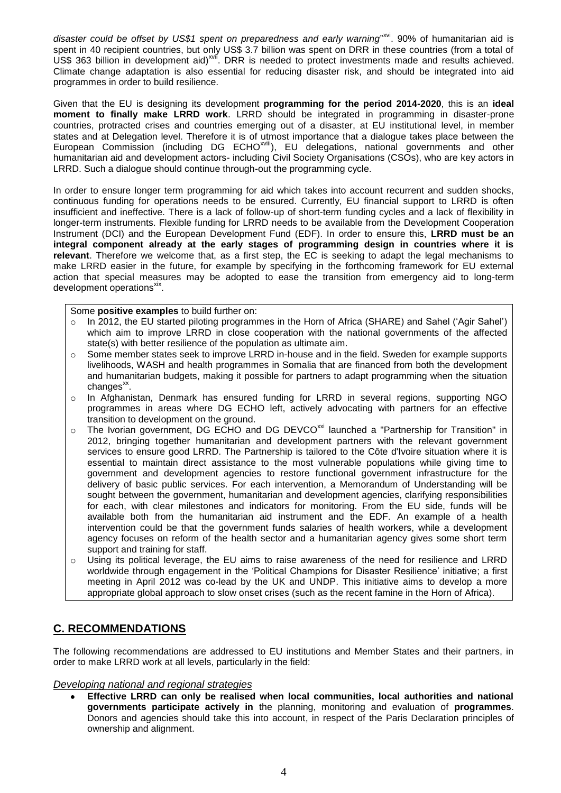disaster could be offset by US\$1 spent on preparedness and early warning<sup>"XVI</sup>. 90% of humanitarian aid is spent in 40 recipient countries, but only US\$ 3.7 billion was spent on DRR in these countries (from a total of US\$ 363 billion in development aid)<sup>xvii</sup>. DRR is needed to protect investments made and results achieved. Climate change adaptation is also essential for reducing disaster risk, and should be integrated into aid programmes in order to build resilience.

Given that the EU is designing its development **programming for the period 2014-2020**, this is an **ideal moment to finally make LRRD work**. LRRD should be integrated in programming in disaster-prone countries, protracted crises and countries emerging out of a disaster, at EU institutional level, in member states and at Delegation level. Therefore it is of utmost importance that a dialogue takes place between the European Commission (including DG ECHO<sup>xviii</sup>), EU delegations, national governments and other humanitarian aid and development actors- including Civil Society Organisations (CSOs), who are key actors in LRRD. Such a dialogue should continue through-out the programming cycle.

In order to ensure longer term programming for aid which takes into account recurrent and sudden shocks, continuous funding for operations needs to be ensured. Currently, EU financial support to LRRD is often insufficient and ineffective. There is a lack of follow-up of short-term funding cycles and a lack of flexibility in longer-term instruments. Flexible funding for LRRD needs to be available from the Development Cooperation Instrument (DCI) and the European Development Fund (EDF). In order to ensure this, **LRRD must be an integral component already at the early stages of programming design in countries where it is relevant**. Therefore we welcome that, as a first step, the EC is seeking to adapt the legal mechanisms to make LRRD easier in the future, for example by specifying in the forthcoming framework for EU external action that special measures may be adopted to ease the transition from emergency aid to long-term development operations<sup>xix</sup>.

Some **positive examples** to build further on:

- o In 2012, the EU started piloting programmes in the Horn of Africa (SHARE) and Sahel ('Agir Sahel') which aim to improve LRRD in close cooperation with the national governments of the affected state(s) with better resilience of the population as ultimate aim.
- $\circ$  Some member states seek to improve LRRD in-house and in the field. Sweden for example supports livelihoods, WASH and health programmes in Somalia that are financed from both the development and humanitarian budgets, making it possible for partners to adapt programming when the situation changes<sup>xx</sup>.
- o In Afghanistan, Denmark has ensured funding for LRRD in several regions, supporting NGO programmes in areas where DG ECHO left, actively advocating with partners for an effective transition to development on the ground.
- $\circ$  The Ivorian government, DG ECHO and DG DEVCO<sup>xxi</sup> launched a "Partnership for Transition" in 2012, bringing together humanitarian and development partners with the relevant government services to ensure good LRRD. The Partnership is tailored to the Côte d'Ivoire situation where it is essential to maintain direct assistance to the most vulnerable populations while giving time to government and development agencies to restore functional government infrastructure for the delivery of basic public services. For each intervention, a Memorandum of Understanding will be sought between the government, humanitarian and development agencies, clarifying responsibilities for each, with clear milestones and indicators for monitoring. From the EU side, funds will be available both from the humanitarian aid instrument and the EDF. An example of a health intervention could be that the government funds salaries of health workers, while a development agency focuses on reform of the health sector and a humanitarian agency gives some short term support and training for staff.
- o Using its political leverage, the EU aims to raise awareness of the need for resilience and LRRD worldwide through engagement in the 'Political Champions for Disaster Resilience' initiative; a first meeting in April 2012 was co-lead by the UK and UNDP. This initiative aims to develop a more appropriate global approach to slow onset crises (such as the recent famine in the Horn of Africa).

## **C. RECOMMENDATIONS**

The following recommendations are addressed to EU institutions and Member States and their partners, in order to make LRRD work at all levels, particularly in the field:

#### *Developing national and regional strategies*

**Effective LRRD can only be realised when local communities, local authorities and national governments participate actively in** the planning, monitoring and evaluation of **programmes**. Donors and agencies should take this into account, in respect of the Paris Declaration principles of ownership and alignment.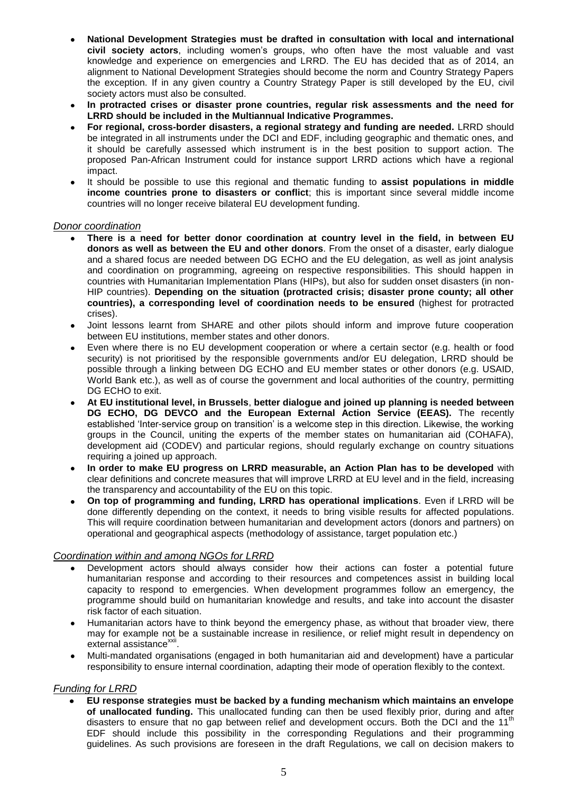- **National Development Strategies must be drafted in consultation with local and international civil society actors**, including women's groups, who often have the most valuable and vast knowledge and experience on emergencies and LRRD. The EU has decided that as of 2014, an alignment to National Development Strategies should become the norm and Country Strategy Papers the exception. If in any given country a Country Strategy Paper is still developed by the EU, civil society actors must also be consulted.
- **In protracted crises or disaster prone countries, regular risk assessments and the need for LRRD should be included in the Multiannual Indicative Programmes.**
- **For regional, cross-border disasters, a regional strategy and funding are needed.** LRRD should be integrated in all instruments under the DCI and EDF, including geographic and thematic ones, and it should be carefully assessed which instrument is in the best position to support action. The proposed Pan-African Instrument could for instance support LRRD actions which have a regional impact.
- It should be possible to use this regional and thematic funding to **assist populations in middle income countries prone to disasters or conflict**; this is important since several middle income countries will no longer receive bilateral EU development funding.

#### *Donor coordination*

- **There is a need for better donor coordination at country level in the field, in between EU donors as well as between the EU and other donors**. From the onset of a disaster, early dialogue and a shared focus are needed between DG ECHO and the EU delegation, as well as joint analysis and coordination on programming, agreeing on respective responsibilities. This should happen in countries with Humanitarian Implementation Plans (HIPs), but also for sudden onset disasters (in non-HIP countries). **Depending on the situation (protracted crisis; disaster prone county; all other countries), a corresponding level of coordination needs to be ensured** (highest for protracted crises).
- Joint lessons learnt from SHARE and other pilots should inform and improve future cooperation between EU institutions, member states and other donors.
- Even where there is no EU development cooperation or where a certain sector (e.g. health or food security) is not prioritised by the responsible governments and/or EU delegation, LRRD should be possible through a linking between DG ECHO and EU member states or other donors (e.g. USAID, World Bank etc.), as well as of course the government and local authorities of the country, permitting DG ECHO to exit.
- **At EU institutional level, in Brussels**, **better dialogue and joined up planning is needed between DG ECHO, DG DEVCO and the European External Action Service (EEAS).** The recently established 'Inter-service group on transition' is a welcome step in this direction. Likewise, the working groups in the Council, uniting the experts of the member states on humanitarian aid (COHAFA), development aid (CODEV) and particular regions, should regularly exchange on country situations requiring a joined up approach.
- **In order to make EU progress on LRRD measurable, an Action Plan has to be developed** with clear definitions and concrete measures that will improve LRRD at EU level and in the field, increasing the transparency and accountability of the EU on this topic.
- **On top of programming and funding, LRRD has operational implications**. Even if LRRD will be  $\bullet$ done differently depending on the context, it needs to bring visible results for affected populations. This will require coordination between humanitarian and development actors (donors and partners) on operational and geographical aspects (methodology of assistance, target population etc.)

#### *Coordination within and among NGOs for LRRD*

- Development actors should always consider how their actions can foster a potential future humanitarian response and according to their resources and competences assist in building local capacity to respond to emergencies. When development programmes follow an emergency, the programme should build on humanitarian knowledge and results, and take into account the disaster risk factor of each situation.
- Humanitarian actors have to think beyond the emergency phase, as without that broader view, there may for example not be a sustainable increase in resilience, or relief might result in dependency on external assistance<sup>xxii</sup>.
- Multi-mandated organisations (engaged in both humanitarian aid and development) have a particular responsibility to ensure internal coordination, adapting their mode of operation flexibly to the context.

#### *Funding for LRRD*

**EU response strategies must be backed by a funding mechanism which maintains an envelope of unallocated funding.** This unallocated funding can then be used flexibly prior, during and after disasters to ensure that no gap between relief and development occurs. Both the DCI and the 11<sup>th</sup> EDF should include this possibility in the corresponding Regulations and their programming guidelines. As such provisions are foreseen in the draft Regulations, we call on decision makers to